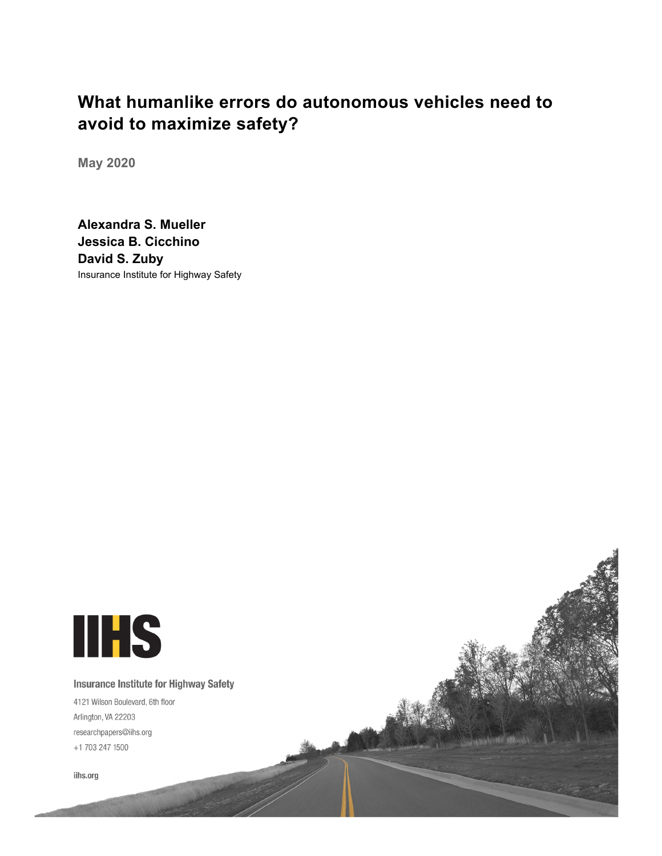# **What humanlike errors do autonomous vehicles need to avoid to maximize safety?**

**May 2020**

**Alexandra S. Mueller Jessica B. Cicchino David S. Zuby** Insurance Institute for Highway Safety

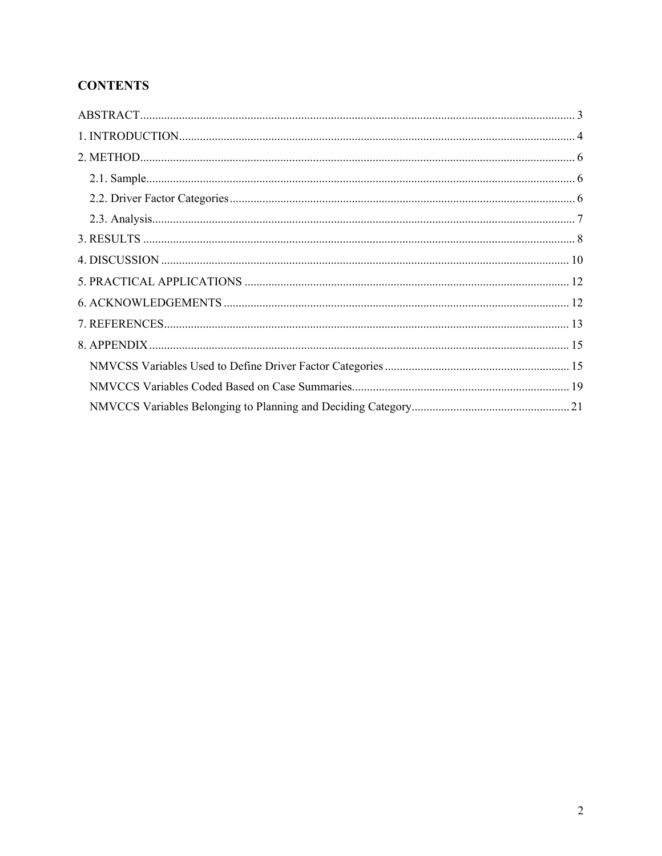# **CONTENTS**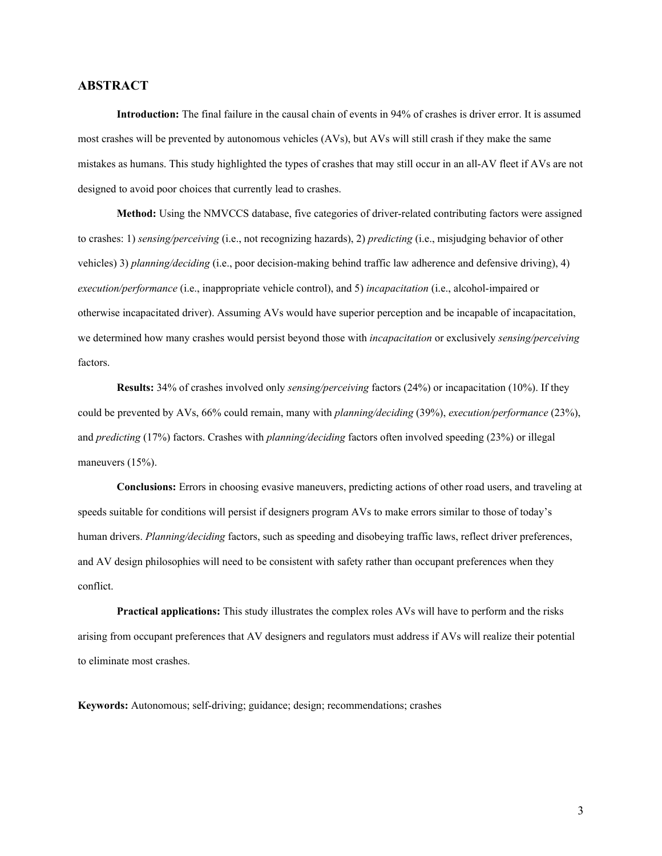# <span id="page-2-0"></span>**ABSTRACT**

**Introduction:** The final failure in the causal chain of events in 94% of crashes is driver error. It is assumed most crashes will be prevented by autonomous vehicles (AVs), but AVs will still crash if they make the same mistakes as humans. This study highlighted the types of crashes that may still occur in an all-AV fleet if AVs are not designed to avoid poor choices that currently lead to crashes.

**Method:** Using the NMVCCS database, five categories of driver-related contributing factors were assigned to crashes: 1) *sensing/perceiving* (i.e., not recognizing hazards), 2) *predicting* (i.e., misjudging behavior of other vehicles) 3) *planning/deciding* (i.e., poor decision-making behind traffic law adherence and defensive driving), 4) *execution/performance* (i.e., inappropriate vehicle control), and 5) *incapacitation* (i.e., alcohol-impaired or otherwise incapacitated driver). Assuming AVs would have superior perception and be incapable of incapacitation, we determined how many crashes would persist beyond those with *incapacitation* or exclusively *sensing/perceiving*  factors.

**Results:** 34% of crashes involved only *sensing/perceiving* factors (24%) or incapacitation (10%). If they could be prevented by AVs, 66% could remain, many with *planning/deciding* (39%), *execution/performance* (23%), and *predicting* (17%) factors. Crashes with *planning/deciding* factors often involved speeding (23%) or illegal maneuvers (15%).

**Conclusions:** Errors in choosing evasive maneuvers, predicting actions of other road users, and traveling at speeds suitable for conditions will persist if designers program AVs to make errors similar to those of today's human drivers. *Planning/deciding* factors, such as speeding and disobeying traffic laws, reflect driver preferences, and AV design philosophies will need to be consistent with safety rather than occupant preferences when they conflict.

**Practical applications:** This study illustrates the complex roles AVs will have to perform and the risks arising from occupant preferences that AV designers and regulators must address if AVs will realize their potential to eliminate most crashes.

**Keywords:** Autonomous; self-driving; guidance; design; recommendations; crashes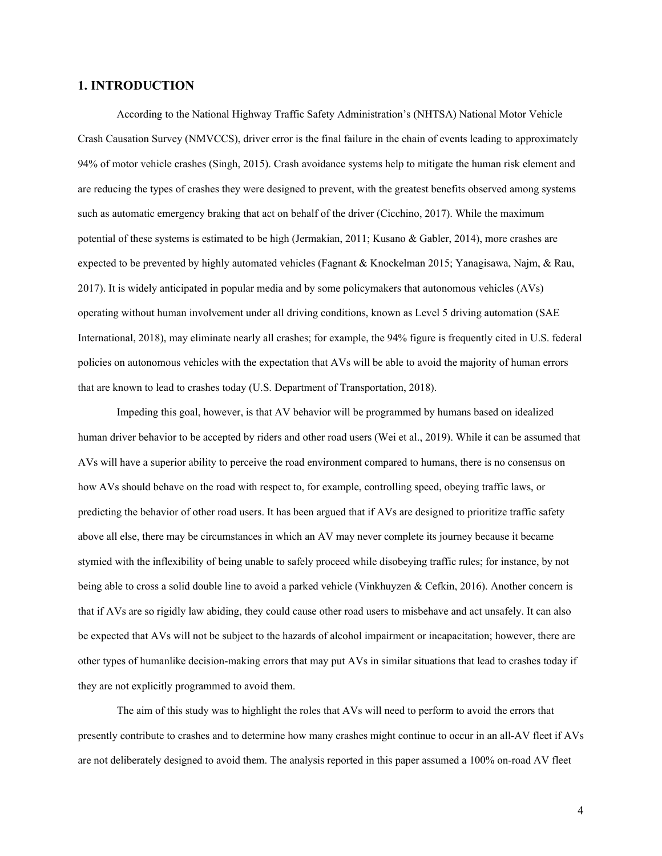# <span id="page-3-0"></span>**1. INTRODUCTION**

According to the National Highway Traffic Safety Administration's (NHTSA) National Motor Vehicle Crash Causation Survey (NMVCCS), driver error is the final failure in the chain of events leading to approximately 94% of motor vehicle crashes (Singh, 2015). Crash avoidance systems help to mitigate the human risk element and are reducing the types of crashes they were designed to prevent, with the greatest benefits observed among systems such as automatic emergency braking that act on behalf of the driver (Cicchino, 2017). While the maximum potential of these systems is estimated to be high (Jermakian, 2011; Kusano & Gabler, 2014), more crashes are expected to be prevented by highly automated vehicles (Fagnant & Knockelman 2015; Yanagisawa, Najm, & Rau, 2017). It is widely anticipated in popular media and by some policymakers that autonomous vehicles (AVs) operating without human involvement under all driving conditions, known as Level 5 driving automation (SAE International, 2018), may eliminate nearly all crashes; for example, the 94% figure is frequently cited in U.S. federal policies on autonomous vehicles with the expectation that AVs will be able to avoid the majority of human errors that are known to lead to crashes today (U.S. Department of Transportation, 2018).

Impeding this goal, however, is that AV behavior will be programmed by humans based on idealized human driver behavior to be accepted by riders and other road users (Wei et al., 2019). While it can be assumed that AVs will have a superior ability to perceive the road environment compared to humans, there is no consensus on how AVs should behave on the road with respect to, for example, controlling speed, obeying traffic laws, or predicting the behavior of other road users. It has been argued that if AVs are designed to prioritize traffic safety above all else, there may be circumstances in which an AV may never complete its journey because it became stymied with the inflexibility of being unable to safely proceed while disobeying traffic rules; for instance, by not being able to cross a solid double line to avoid a parked vehicle (Vinkhuyzen & Cefkin, 2016). Another concern is that if AVs are so rigidly law abiding, they could cause other road users to misbehave and act unsafely. It can also be expected that AVs will not be subject to the hazards of alcohol impairment or incapacitation; however, there are other types of humanlike decision-making errors that may put AVs in similar situations that lead to crashes today if they are not explicitly programmed to avoid them.

The aim of this study was to highlight the roles that AVs will need to perform to avoid the errors that presently contribute to crashes and to determine how many crashes might continue to occur in an all-AV fleet if AVs are not deliberately designed to avoid them. The analysis reported in this paper assumed a 100% on-road AV fleet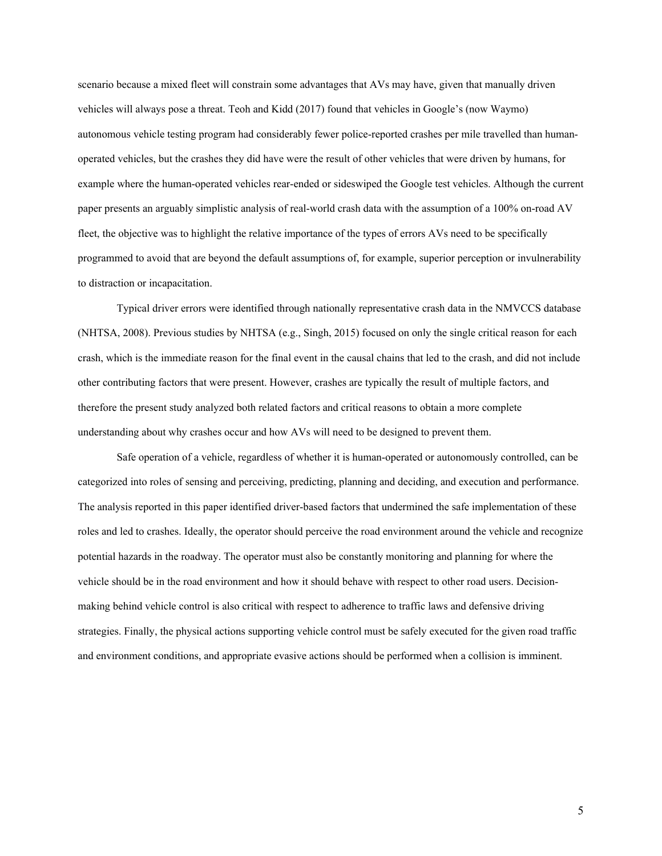scenario because a mixed fleet will constrain some advantages that AVs may have, given that manually driven vehicles will always pose a threat. Teoh and Kidd (2017) found that vehicles in Google's (now Waymo) autonomous vehicle testing program had considerably fewer police-reported crashes per mile travelled than humanoperated vehicles, but the crashes they did have were the result of other vehicles that were driven by humans, for example where the human-operated vehicles rear-ended or sideswiped the Google test vehicles. Although the current paper presents an arguably simplistic analysis of real-world crash data with the assumption of a 100% on-road AV fleet, the objective was to highlight the relative importance of the types of errors AVs need to be specifically programmed to avoid that are beyond the default assumptions of, for example, superior perception or invulnerability to distraction or incapacitation.

Typical driver errors were identified through nationally representative crash data in the NMVCCS database (NHTSA, 2008). Previous studies by NHTSA (e.g., Singh, 2015) focused on only the single critical reason for each crash, which is the immediate reason for the final event in the causal chains that led to the crash, and did not include other contributing factors that were present. However, crashes are typically the result of multiple factors, and therefore the present study analyzed both related factors and critical reasons to obtain a more complete understanding about why crashes occur and how AVs will need to be designed to prevent them.

Safe operation of a vehicle, regardless of whether it is human-operated or autonomously controlled, can be categorized into roles of sensing and perceiving, predicting, planning and deciding, and execution and performance. The analysis reported in this paper identified driver-based factors that undermined the safe implementation of these roles and led to crashes. Ideally, the operator should perceive the road environment around the vehicle and recognize potential hazards in the roadway. The operator must also be constantly monitoring and planning for where the vehicle should be in the road environment and how it should behave with respect to other road users. Decisionmaking behind vehicle control is also critical with respect to adherence to traffic laws and defensive driving strategies. Finally, the physical actions supporting vehicle control must be safely executed for the given road traffic and environment conditions, and appropriate evasive actions should be performed when a collision is imminent.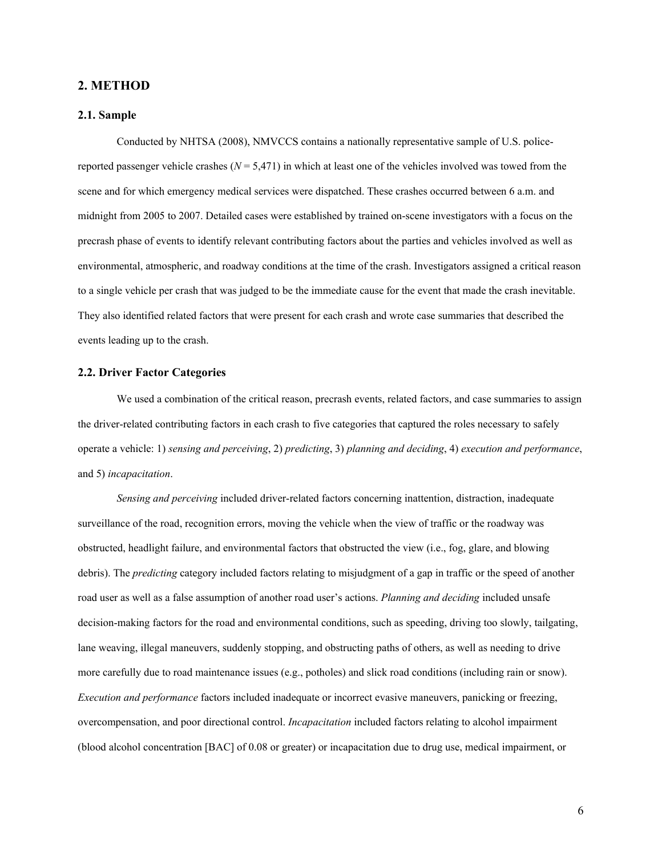# <span id="page-5-0"></span>**2. METHOD**

#### <span id="page-5-1"></span>**2.1. Sample**

Conducted by NHTSA (2008), NMVCCS contains a nationally representative sample of U.S. policereported passenger vehicle crashes  $(N = 5,471)$  in which at least one of the vehicles involved was towed from the scene and for which emergency medical services were dispatched. These crashes occurred between 6 a.m. and midnight from 2005 to 2007. Detailed cases were established by trained on-scene investigators with a focus on the precrash phase of events to identify relevant contributing factors about the parties and vehicles involved as well as environmental, atmospheric, and roadway conditions at the time of the crash. Investigators assigned a critical reason to a single vehicle per crash that was judged to be the immediate cause for the event that made the crash inevitable. They also identified related factors that were present for each crash and wrote case summaries that described the events leading up to the crash.

#### <span id="page-5-2"></span>**2.2. Driver Factor Categories**

We used a combination of the critical reason, precrash events, related factors, and case summaries to assign the driver-related contributing factors in each crash to five categories that captured the roles necessary to safely operate a vehicle: 1) *sensing and perceiving*, 2) *predicting*, 3) *planning and deciding*, 4) *execution and performance*, and 5) *incapacitation*.

*Sensing and perceiving* included driver-related factors concerning inattention, distraction, inadequate surveillance of the road, recognition errors, moving the vehicle when the view of traffic or the roadway was obstructed, headlight failure, and environmental factors that obstructed the view (i.e., fog, glare, and blowing debris). The *predicting* category included factors relating to misjudgment of a gap in traffic or the speed of another road user as well as a false assumption of another road user's actions. *Planning and deciding* included unsafe decision-making factors for the road and environmental conditions, such as speeding, driving too slowly, tailgating, lane weaving, illegal maneuvers, suddenly stopping, and obstructing paths of others, as well as needing to drive more carefully due to road maintenance issues (e.g., potholes) and slick road conditions (including rain or snow). *Execution and performance* factors included inadequate or incorrect evasive maneuvers, panicking or freezing, overcompensation, and poor directional control. *Incapacitation* included factors relating to alcohol impairment (blood alcohol concentration [BAC] of 0.08 or greater) or incapacitation due to drug use, medical impairment, or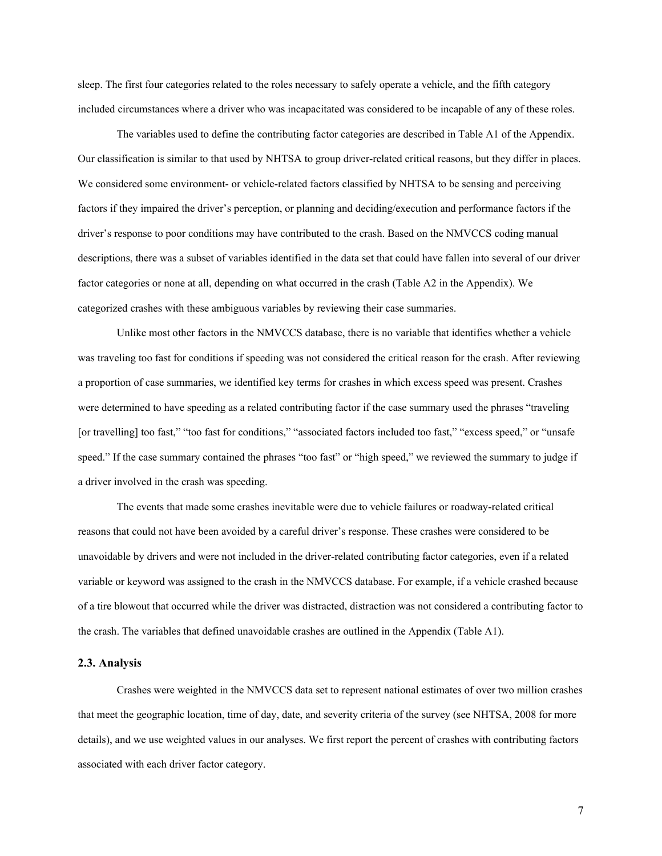sleep. The first four categories related to the roles necessary to safely operate a vehicle, and the fifth category included circumstances where a driver who was incapacitated was considered to be incapable of any of these roles.

The variables used to define the contributing factor categories are described in Table A1 of the Appendix. Our classification is similar to that used by NHTSA to group driver-related critical reasons, but they differ in places. We considered some environment- or vehicle-related factors classified by NHTSA to be sensing and perceiving factors if they impaired the driver's perception, or planning and deciding/execution and performance factors if the driver's response to poor conditions may have contributed to the crash. Based on the NMVCCS coding manual descriptions, there was a subset of variables identified in the data set that could have fallen into several of our driver factor categories or none at all, depending on what occurred in the crash (Table A2 in the Appendix). We categorized crashes with these ambiguous variables by reviewing their case summaries.

Unlike most other factors in the NMVCCS database, there is no variable that identifies whether a vehicle was traveling too fast for conditions if speeding was not considered the critical reason for the crash. After reviewing a proportion of case summaries, we identified key terms for crashes in which excess speed was present. Crashes were determined to have speeding as a related contributing factor if the case summary used the phrases "traveling [or travelling] too fast," "too fast for conditions," "associated factors included too fast," "excess speed," or "unsafe speed." If the case summary contained the phrases "too fast" or "high speed," we reviewed the summary to judge if a driver involved in the crash was speeding.

The events that made some crashes inevitable were due to vehicle failures or roadway-related critical reasons that could not have been avoided by a careful driver's response. These crashes were considered to be unavoidable by drivers and were not included in the driver-related contributing factor categories, even if a related variable or keyword was assigned to the crash in the NMVCCS database. For example, if a vehicle crashed because of a tire blowout that occurred while the driver was distracted, distraction was not considered a contributing factor to the crash. The variables that defined unavoidable crashes are outlined in the Appendix (Table A1).

#### <span id="page-6-0"></span>**2.3. Analysis**

Crashes were weighted in the NMVCCS data set to represent national estimates of over two million crashes that meet the geographic location, time of day, date, and severity criteria of the survey (see NHTSA, 2008 for more details), and we use weighted values in our analyses. We first report the percent of crashes with contributing factors associated with each driver factor category.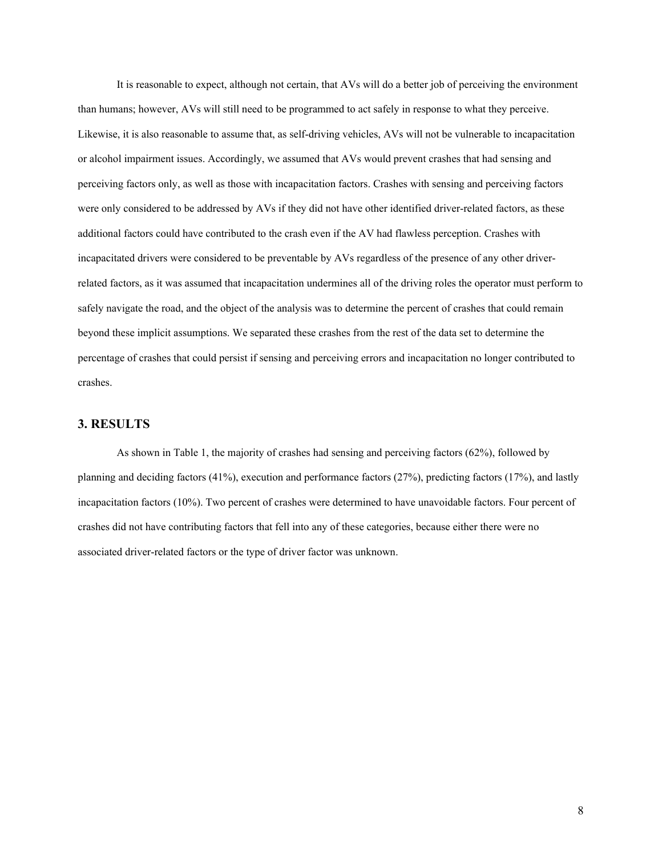It is reasonable to expect, although not certain, that AVs will do a better job of perceiving the environment than humans; however, AVs will still need to be programmed to act safely in response to what they perceive. Likewise, it is also reasonable to assume that, as self-driving vehicles, AVs will not be vulnerable to incapacitation or alcohol impairment issues. Accordingly, we assumed that AVs would prevent crashes that had sensing and perceiving factors only, as well as those with incapacitation factors. Crashes with sensing and perceiving factors were only considered to be addressed by AVs if they did not have other identified driver-related factors, as these additional factors could have contributed to the crash even if the AV had flawless perception. Crashes with incapacitated drivers were considered to be preventable by AVs regardless of the presence of any other driverrelated factors, as it was assumed that incapacitation undermines all of the driving roles the operator must perform to safely navigate the road, and the object of the analysis was to determine the percent of crashes that could remain beyond these implicit assumptions. We separated these crashes from the rest of the data set to determine the percentage of crashes that could persist if sensing and perceiving errors and incapacitation no longer contributed to crashes.

# <span id="page-7-0"></span>**3. RESULTS**

As shown in Table 1, the majority of crashes had sensing and perceiving factors (62%), followed by planning and deciding factors (41%), execution and performance factors (27%), predicting factors (17%), and lastly incapacitation factors (10%). Two percent of crashes were determined to have unavoidable factors. Four percent of crashes did not have contributing factors that fell into any of these categories, because either there were no associated driver-related factors or the type of driver factor was unknown.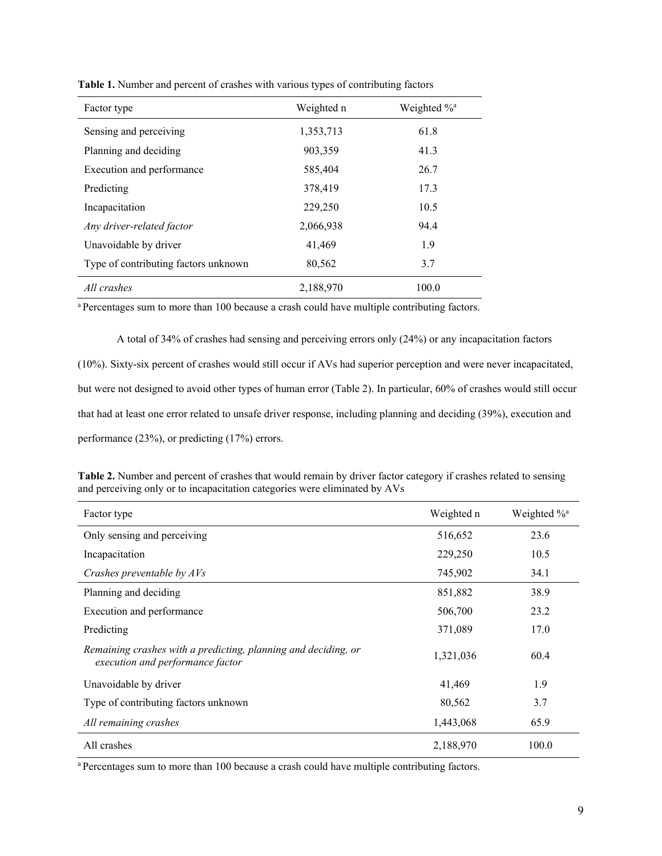| Factor type                          | Weighted n | Weighted % <sup>a</sup> |
|--------------------------------------|------------|-------------------------|
| Sensing and perceiving               | 1,353,713  | 61.8                    |
| Planning and deciding                | 903,359    | 41.3                    |
| Execution and performance            | 585,404    | 26.7                    |
| Predicting                           | 378,419    | 17.3                    |
| Incapacitation                       | 229,250    | 10.5                    |
| Any driver-related factor            | 2,066,938  | 94.4                    |
| Unavoidable by driver                | 41.469     | 1.9                     |
| Type of contributing factors unknown | 80,562     | 3.7                     |
| All crashes                          | 2.188,970  | 100.0                   |

**Table 1.** Number and percent of crashes with various types of contributing factors

<sup>a</sup> Percentages sum to more than 100 because a crash could have multiple contributing factors.

A total of 34% of crashes had sensing and perceiving errors only (24%) or any incapacitation factors (10%). Sixty-six percent of crashes would still occur if AVs had superior perception and were never incapacitated, but were not designed to avoid other types of human error (Table 2). In particular, 60% of crashes would still occur that had at least one error related to unsafe driver response, including planning and deciding (39%), execution and performance (23%), or predicting (17%) errors.

| Table 2. Number and percent of crashes that would remain by driver factor category if crashes related to sensing |  |
|------------------------------------------------------------------------------------------------------------------|--|
| and perceiving only or to incapacitation categories were eliminated by AVs                                       |  |

| Factor type                                                                                        | Weighted n | Weighted % <sup>a</sup> |
|----------------------------------------------------------------------------------------------------|------------|-------------------------|
| Only sensing and perceiving                                                                        | 516,652    | 23.6                    |
| Incapacitation                                                                                     | 229,250    | 10.5                    |
| Crashes preventable by AVs                                                                         | 745,902    | 34.1                    |
| Planning and deciding                                                                              | 851,882    | 38.9                    |
| Execution and performance                                                                          | 506,700    | 23.2                    |
| Predicting                                                                                         | 371,089    | 17.0                    |
| Remaining crashes with a predicting, planning and deciding, or<br>execution and performance factor | 1,321,036  | 60.4                    |
| Unavoidable by driver                                                                              | 41,469     | 1.9                     |
| Type of contributing factors unknown                                                               | 80,562     | 3.7                     |
| All remaining crashes                                                                              | 1,443,068  | 65.9                    |
| All crashes                                                                                        | 2,188,970  | 100.0                   |

<sup>a</sup> Percentages sum to more than 100 because a crash could have multiple contributing factors.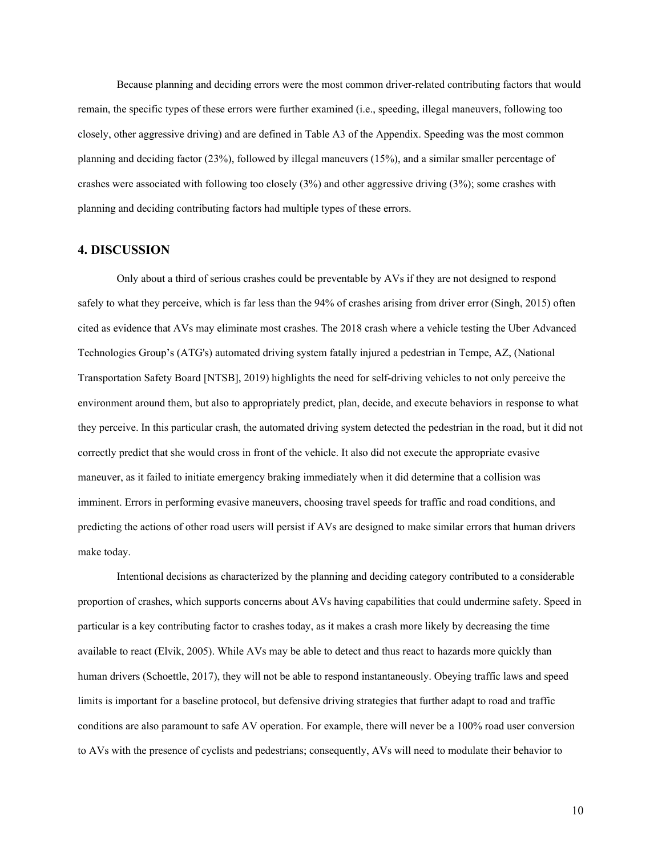Because planning and deciding errors were the most common driver-related contributing factors that would remain, the specific types of these errors were further examined (i.e., speeding, illegal maneuvers, following too closely, other aggressive driving) and are defined in Table A3 of the Appendix. Speeding was the most common planning and deciding factor (23%), followed by illegal maneuvers (15%), and a similar smaller percentage of crashes were associated with following too closely (3%) and other aggressive driving (3%); some crashes with planning and deciding contributing factors had multiple types of these errors.

#### <span id="page-9-0"></span>**4. DISCUSSION**

Only about a third of serious crashes could be preventable by AVs if they are not designed to respond safely to what they perceive, which is far less than the 94% of crashes arising from driver error (Singh, 2015) often cited as evidence that AVs may eliminate most crashes. The 2018 crash where a vehicle testing the Uber Advanced Technologies Group's (ATG's) automated driving system fatally injured a pedestrian in Tempe, AZ, (National Transportation Safety Board [NTSB], 2019) highlights the need for self-driving vehicles to not only perceive the environment around them, but also to appropriately predict, plan, decide, and execute behaviors in response to what they perceive. In this particular crash, the automated driving system detected the pedestrian in the road, but it did not correctly predict that she would cross in front of the vehicle. It also did not execute the appropriate evasive maneuver, as it failed to initiate emergency braking immediately when it did determine that a collision was imminent. Errors in performing evasive maneuvers, choosing travel speeds for traffic and road conditions, and predicting the actions of other road users will persist if AVs are designed to make similar errors that human drivers make today.

Intentional decisions as characterized by the planning and deciding category contributed to a considerable proportion of crashes, which supports concerns about AVs having capabilities that could undermine safety. Speed in particular is a key contributing factor to crashes today, as it makes a crash more likely by decreasing the time available to react (Elvik, 2005). While AVs may be able to detect and thus react to hazards more quickly than human drivers (Schoettle, 2017), they will not be able to respond instantaneously. Obeying traffic laws and speed limits is important for a baseline protocol, but defensive driving strategies that further adapt to road and traffic conditions are also paramount to safe AV operation. For example, there will never be a 100% road user conversion to AVs with the presence of cyclists and pedestrians; consequently, AVs will need to modulate their behavior to

10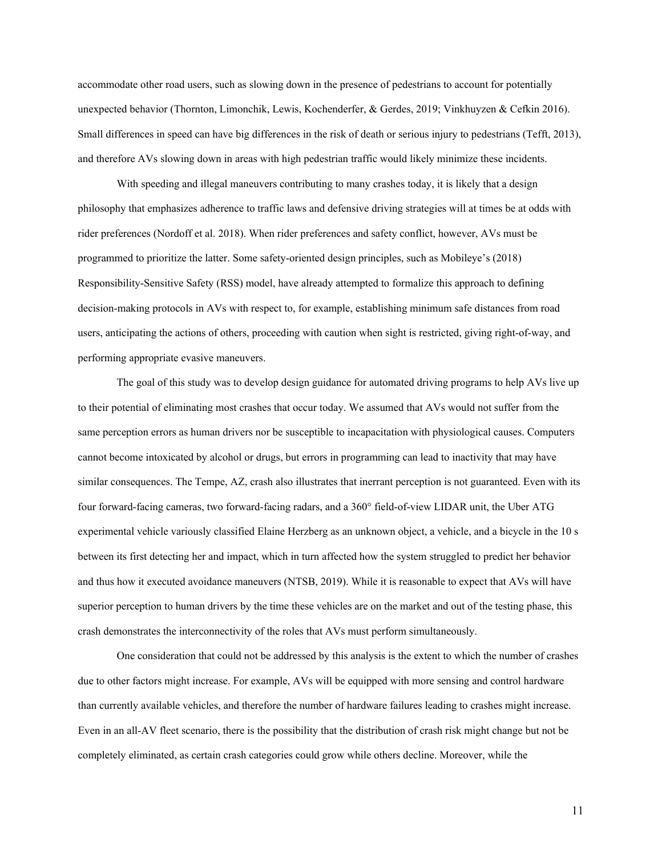accommodate other road users, such as slowing down in the presence of pedestrians to account for potentially unexpected behavior (Thornton, Limonchik, Lewis, Kochenderfer, & Gerdes, 2019; Vinkhuyzen & Cefkin 2016). Small differences in speed can have big differences in the risk of death or serious injury to pedestrians (Tefft, 2013), and therefore AVs slowing down in areas with high pedestrian traffic would likely minimize these incidents.

With speeding and illegal maneuvers contributing to many crashes today, it is likely that a design philosophy that emphasizes adherence to traffic laws and defensive driving strategies will at times be at odds with rider preferences (Nordoff et al. 2018). When rider preferences and safety conflict, however, AVs must be programmed to prioritize the latter. Some safety-oriented design principles, such as Mobileye's (2018) Responsibility-Sensitive Safety (RSS) model, have already attempted to formalize this approach to defining decision-making protocols in AVs with respect to, for example, establishing minimum safe distances from road users, anticipating the actions of others, proceeding with caution when sight is restricted, giving right-of-way, and performing appropriate evasive maneuvers.

The goal of this study was to develop design guidance for automated driving programs to help AVs live up to their potential of eliminating most crashes that occur today. We assumed that AVs would not suffer from the same perception errors as human drivers nor be susceptible to incapacitation with physiological causes. Computers cannot become intoxicated by alcohol or drugs, but errors in programming can lead to inactivity that may have similar consequences. The Tempe, AZ, crash also illustrates that inerrant perception is not guaranteed. Even with its four forward-facing cameras, two forward-facing radars, and a 360° field-of-view LIDAR unit, the Uber ATG experimental vehicle variously classified Elaine Herzberg as an unknown object, a vehicle, and a bicycle in the 10 s between its first detecting her and impact, which in turn affected how the system struggled to predict her behavior and thus how it executed avoidance maneuvers (NTSB, 2019). While it is reasonable to expect that AVs will have superior perception to human drivers by the time these vehicles are on the market and out of the testing phase, this crash demonstrates the interconnectivity of the roles that AVs must perform simultaneously.

One consideration that could not be addressed by this analysis is the extent to which the number of crashes due to other factors might increase. For example, AVs will be equipped with more sensing and control hardware than currently available vehicles, and therefore the number of hardware failures leading to crashes might increase. Even in an all-AV fleet scenario, there is the possibility that the distribution of crash risk might change but not be completely eliminated, as certain crash categories could grow while others decline. Moreover, while the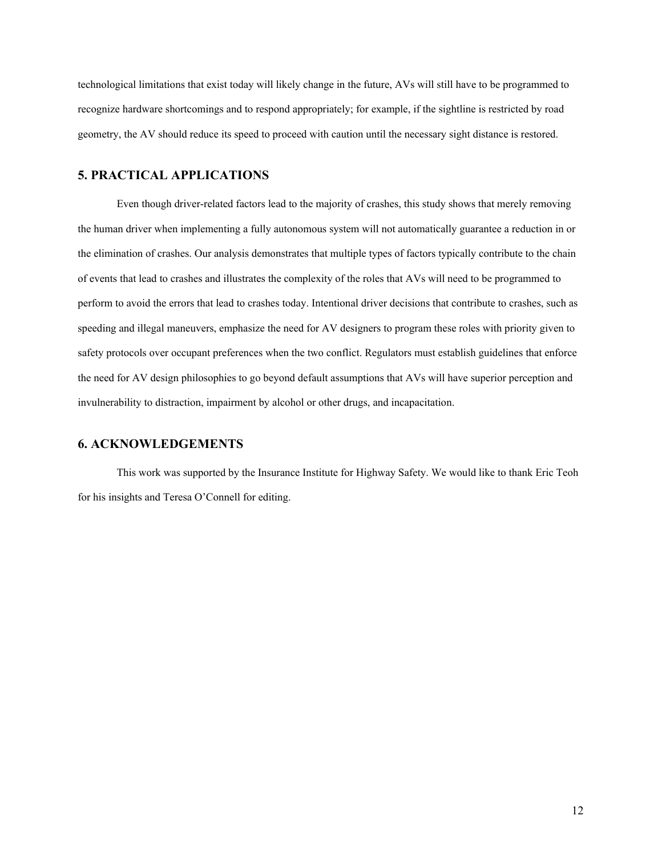technological limitations that exist today will likely change in the future, AVs will still have to be programmed to recognize hardware shortcomings and to respond appropriately; for example, if the sightline is restricted by road geometry, the AV should reduce its speed to proceed with caution until the necessary sight distance is restored.

# <span id="page-11-0"></span>**5. PRACTICAL APPLICATIONS**

Even though driver-related factors lead to the majority of crashes, this study shows that merely removing the human driver when implementing a fully autonomous system will not automatically guarantee a reduction in or the elimination of crashes. Our analysis demonstrates that multiple types of factors typically contribute to the chain of events that lead to crashes and illustrates the complexity of the roles that AVs will need to be programmed to perform to avoid the errors that lead to crashes today. Intentional driver decisions that contribute to crashes, such as speeding and illegal maneuvers, emphasize the need for AV designers to program these roles with priority given to safety protocols over occupant preferences when the two conflict. Regulators must establish guidelines that enforce the need for AV design philosophies to go beyond default assumptions that AVs will have superior perception and invulnerability to distraction, impairment by alcohol or other drugs, and incapacitation.

### <span id="page-11-1"></span>**6. ACKNOWLEDGEMENTS**

This work was supported by the Insurance Institute for Highway Safety. We would like to thank Eric Teoh for his insights and Teresa O'Connell for editing.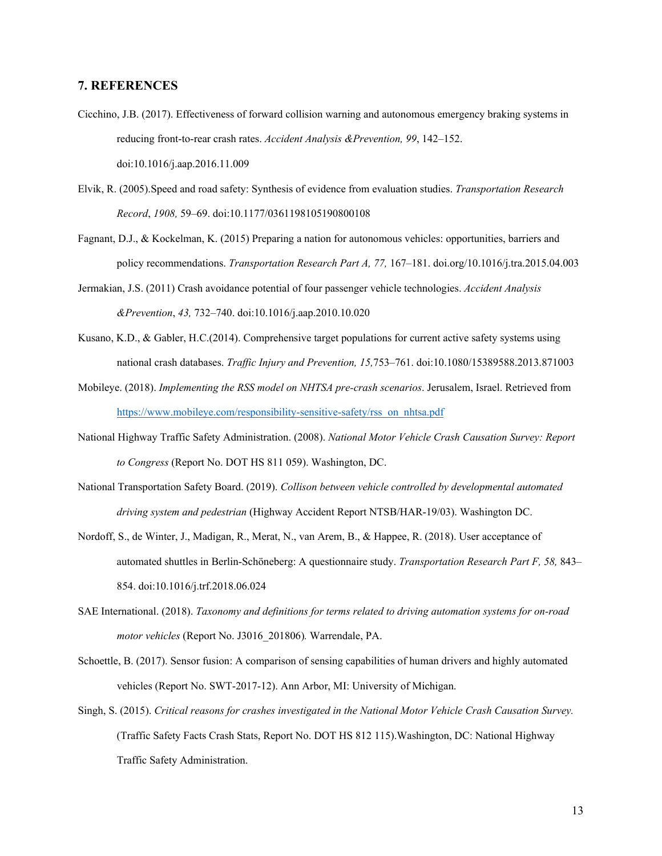# <span id="page-12-0"></span>**7. REFERENCES**

- Cicchino, J.B. (2017). Effectiveness of forward collision warning and autonomous emergency braking systems in reducing front-to-rear crash rates. *Accident Analysis &Prevention, 99*, 142–152. doi:10.1016/j.aap.2016.11.009
- Elvik, R. (2005).Speed and road safety: Synthesis of evidence from evaluation studies. *Transportation Research Record*, *1908,* 59–69. doi:10.1177/0361198105190800108
- Fagnant, D.J., & Kockelman, K. (2015) Preparing a nation for autonomous vehicles: opportunities, barriers and policy recommendations. *Transportation Research Part A, 77,* 167–181. doi.org/10.1016/j.tra.2015.04.003
- Jermakian, J.S. (2011) Crash avoidance potential of four passenger vehicle technologies. *Accident Analysis &Prevention*, *43,* 732–740. doi:10.1016/j.aap.2010.10.020
- Kusano, K.D., & Gabler, H.C.(2014). Comprehensive target populations for current active safety systems using national crash databases. *Traffic Injury and Prevention, 15,*753–761. doi:10.1080/15389588.2013.871003
- Mobileye. (2018). *Implementing the RSS model on NHTSA pre-crash scenarios*. Jerusalem, Israel. Retrieved from [https://www.mobileye.com/responsibility-sensitive-safety/rss\\_on\\_nhtsa.pdf](https://www.mobileye.com/responsibility-sensitive-safety/rss_on_nhtsa.pdf)
- National Highway Traffic Safety Administration. (2008). *National Motor Vehicle Crash Causation Survey: Report to Congress* (Report No. DOT HS 811 059). Washington, DC.
- National Transportation Safety Board. (2019). *Collison between vehicle controlled by developmental automated driving system and pedestrian* (Highway Accident Report NTSB/HAR-19/03). Washington DC.
- Nordoff, S., de Winter, J., Madigan, R., Merat, N., van Arem, B., & Happee, R. (2018). User acceptance of automated shuttles in Berlin-Schöneberg: A questionnaire study. *Transportation Research Part F, 58,* 843– 854. doi:10.1016/j.trf.2018.06.024
- SAE International. (2018). *Taxonomy and definitions for terms related to driving automation systems for on-road motor vehicles* (Report No. J3016\_201806)*.* Warrendale, PA.
- Schoettle, B. (2017). Sensor fusion: A comparison of sensing capabilities of human drivers and highly automated vehicles (Report No. SWT-2017-12). Ann Arbor, MI: University of Michigan.
- Singh, S. (2015). *Critical reasons for crashes investigated in the National Motor Vehicle Crash Causation Survey.*  (Traffic Safety Facts Crash Stats, Report No. DOT HS 812 115).Washington, DC: National Highway Traffic Safety Administration.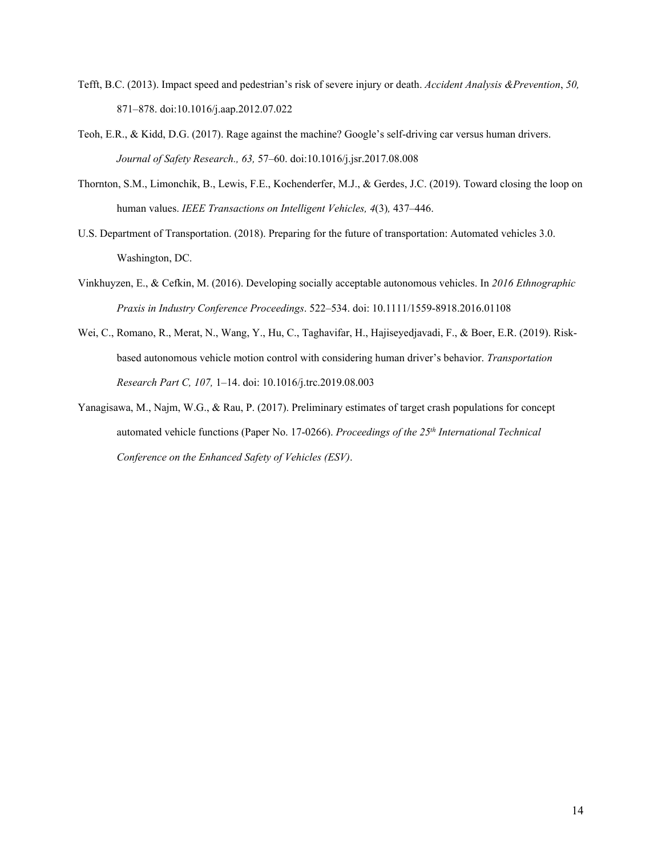- Tefft, B.C. (2013). Impact speed and pedestrian's risk of severe injury or death. *Accident Analysis &Prevention*, *50,* 871–878. doi:10.1016/j.aap.2012.07.022
- Teoh, E.R., & Kidd, D.G. (2017). Rage against the machine? Google's self-driving car versus human drivers. *Journal of Safety Research., 63,* 57–60. doi:10.1016/j.jsr.2017.08.008
- Thornton, S.M., Limonchik, B., Lewis, F.E., Kochenderfer, M.J., & Gerdes, J.C. (2019). Toward closing the loop on human values. *IEEE Transactions on Intelligent Vehicles, 4*(3)*,* 437–446.
- U.S. Department of Transportation. (2018). Preparing for the future of transportation: Automated vehicles 3.0. Washington, DC.
- Vinkhuyzen, E., & Cefkin, M. (2016). Developing socially acceptable autonomous vehicles. In *2016 Ethnographic Praxis in Industry Conference Proceedings*. 522–534. doi: 10.1111/1559-8918.2016.01108
- Wei, C., Romano, R., Merat, N., Wang, Y., Hu, C., Taghavifar, H., Hajiseyedjavadi, F., & Boer, E.R. (2019). Riskbased autonomous vehicle motion control with considering human driver's behavior. *Transportation Research Part C, 107,* 1–14. doi: 10.1016/j.trc.2019.08.003
- Yanagisawa, M., Najm, W.G., & Rau, P. (2017). Preliminary estimates of target crash populations for concept automated vehicle functions (Paper No. 17-0266). *Proceedings of the 25th International Technical Conference on the Enhanced Safety of Vehicles (ESV)*.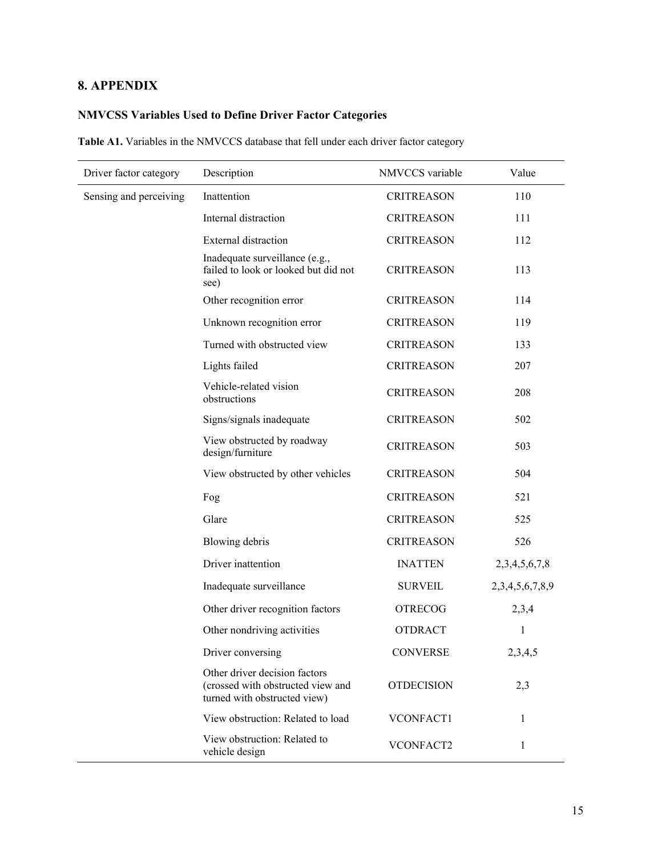# <span id="page-14-0"></span>**8. APPENDIX**

# <span id="page-14-1"></span>**NMVCSS Variables Used to Define Driver Factor Categories**

**Table A1.** Variables in the NMVCCS database that fell under each driver factor category

| Driver factor category | Description                                                                                        | NMVCCS variable   | Value           |
|------------------------|----------------------------------------------------------------------------------------------------|-------------------|-----------------|
| Sensing and perceiving | Inattention                                                                                        | <b>CRITREASON</b> | 110             |
|                        | Internal distraction                                                                               | <b>CRITREASON</b> | 111             |
|                        | <b>External distraction</b>                                                                        | <b>CRITREASON</b> | 112             |
|                        | Inadequate surveillance (e.g.,<br>failed to look or looked but did not<br>see)                     | <b>CRITREASON</b> | 113             |
|                        | Other recognition error                                                                            | <b>CRITREASON</b> | 114             |
|                        | Unknown recognition error                                                                          | <b>CRITREASON</b> | 119             |
|                        | Turned with obstructed view                                                                        | <b>CRITREASON</b> | 133             |
|                        | Lights failed                                                                                      | <b>CRITREASON</b> | 207             |
|                        | Vehicle-related vision<br>obstructions                                                             | <b>CRITREASON</b> | 208             |
|                        | Signs/signals inadequate                                                                           | <b>CRITREASON</b> | 502             |
|                        | View obstructed by roadway<br>design/furniture                                                     | <b>CRITREASON</b> | 503             |
|                        | View obstructed by other vehicles                                                                  | <b>CRITREASON</b> | 504             |
|                        | Fog                                                                                                | <b>CRITREASON</b> | 521             |
|                        | Glare                                                                                              | <b>CRITREASON</b> | 525             |
|                        | Blowing debris                                                                                     | <b>CRITREASON</b> | 526             |
|                        | Driver inattention                                                                                 | <b>INATTEN</b>    | 2,3,4,5,6,7,8   |
|                        | Inadequate surveillance                                                                            | <b>SURVEIL</b>    | 2,3,4,5,6,7,8,9 |
|                        | Other driver recognition factors                                                                   | <b>OTRECOG</b>    | 2,3,4           |
|                        | Other nondriving activities                                                                        | <b>OTDRACT</b>    | 1               |
|                        | Driver conversing                                                                                  | <b>CONVERSE</b>   | 2,3,4,5         |
|                        | Other driver decision factors<br>(crossed with obstructed view and<br>turned with obstructed view) | <b>OTDECISION</b> | 2,3             |
|                        | View obstruction: Related to load                                                                  | VCONFACT1         | 1               |
|                        | View obstruction: Related to<br>vehicle design                                                     | VCONFACT2         | 1               |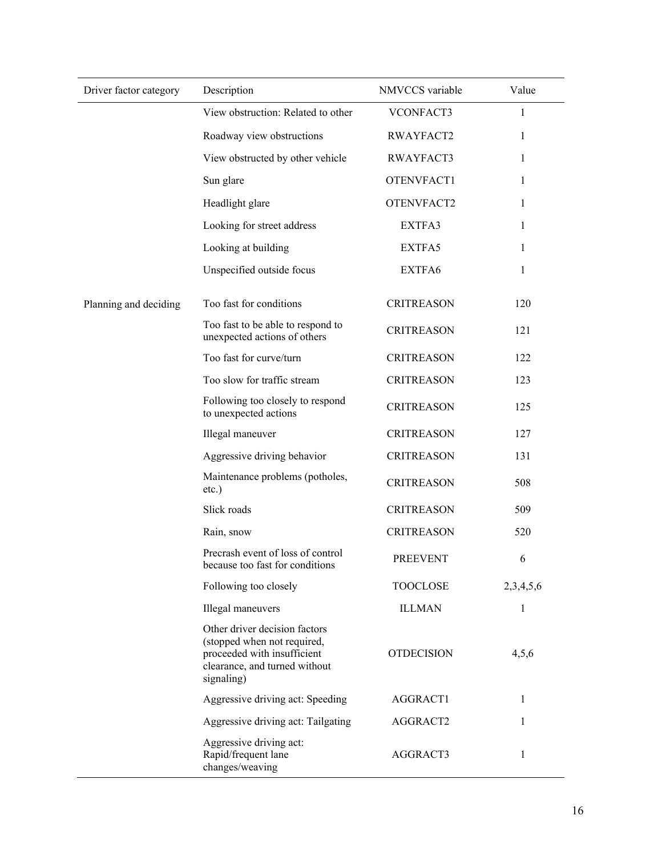| Driver factor category | Description                                                                                                                                | NMVCCS variable   | Value        |
|------------------------|--------------------------------------------------------------------------------------------------------------------------------------------|-------------------|--------------|
|                        | View obstruction: Related to other                                                                                                         | VCONFACT3         | 1            |
|                        | Roadway view obstructions                                                                                                                  | RWAYFACT2         | 1            |
|                        | View obstructed by other vehicle                                                                                                           | RWAYFACT3         | 1            |
|                        | Sun glare                                                                                                                                  | OTENVFACT1        | 1            |
|                        | Headlight glare                                                                                                                            | OTENVFACT2        | 1            |
|                        | Looking for street address                                                                                                                 | EXTFA3            | 1            |
|                        | Looking at building                                                                                                                        | EXTFA5            | 1            |
|                        | Unspecified outside focus                                                                                                                  | EXTFA6            | 1            |
| Planning and deciding  | Too fast for conditions                                                                                                                    | <b>CRITREASON</b> | 120          |
|                        | Too fast to be able to respond to<br>unexpected actions of others                                                                          | <b>CRITREASON</b> | 121          |
|                        | Too fast for curve/turn                                                                                                                    | <b>CRITREASON</b> | 122          |
|                        | Too slow for traffic stream                                                                                                                | <b>CRITREASON</b> | 123          |
|                        | Following too closely to respond<br>to unexpected actions                                                                                  | <b>CRITREASON</b> | 125          |
|                        | Illegal maneuver                                                                                                                           | <b>CRITREASON</b> | 127          |
|                        | Aggressive driving behavior                                                                                                                | <b>CRITREASON</b> | 131          |
|                        | Maintenance problems (potholes,<br>etc.)                                                                                                   | <b>CRITREASON</b> | 508          |
|                        | Slick roads                                                                                                                                | <b>CRITREASON</b> | 509          |
|                        | Rain, snow                                                                                                                                 | <b>CRITREASON</b> | 520          |
|                        | Precrash event of loss of control<br>because too fast for conditions                                                                       | <b>PREEVENT</b>   | 6            |
|                        | Following too closely                                                                                                                      | <b>TOOCLOSE</b>   | 2,3,4,5,6    |
|                        | Illegal maneuvers                                                                                                                          | <b>ILLMAN</b>     | $\mathbf{1}$ |
|                        | Other driver decision factors<br>(stopped when not required,<br>proceeded with insufficient<br>clearance, and turned without<br>signaling) | <b>OTDECISION</b> | 4,5,6        |
|                        | Aggressive driving act: Speeding                                                                                                           | AGGRACT1          | 1            |
|                        | Aggressive driving act: Tailgating                                                                                                         | AGGRACT2          | 1            |
|                        | Aggressive driving act:<br>Rapid/frequent lane<br>changes/weaving                                                                          | AGGRACT3          | $\mathbf{1}$ |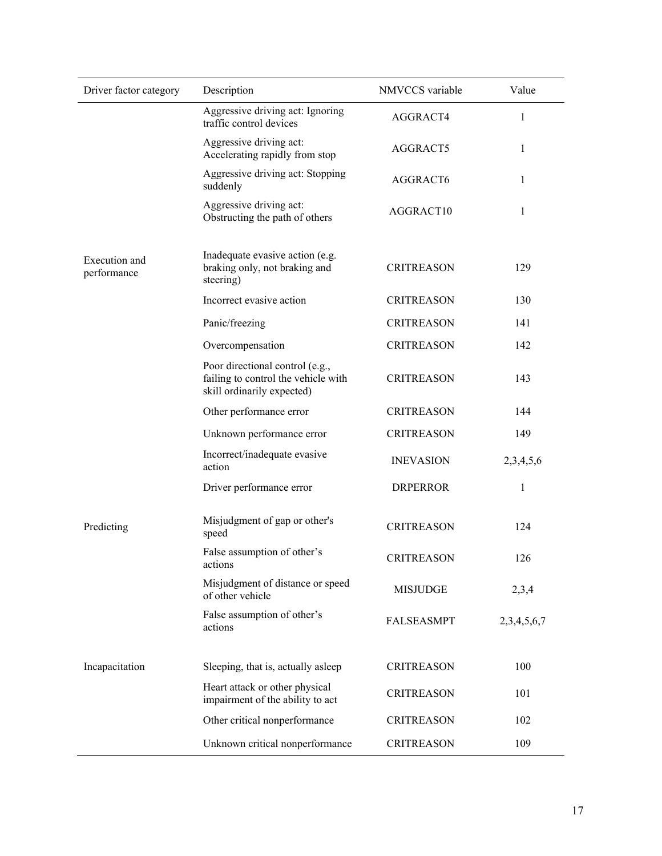| Driver factor category       | Description                                                                                          | NMVCCS variable   | Value       |
|------------------------------|------------------------------------------------------------------------------------------------------|-------------------|-------------|
|                              | Aggressive driving act: Ignoring<br>traffic control devices                                          | AGGRACT4          | 1           |
|                              | Aggressive driving act:<br>Accelerating rapidly from stop                                            | AGGRACT5          | 1           |
|                              | Aggressive driving act: Stopping<br>suddenly                                                         | AGGRACT6          | 1           |
|                              | Aggressive driving act:<br>Obstructing the path of others                                            | AGGRACT10         | 1           |
| Execution and<br>performance | Inadequate evasive action (e.g.<br>braking only, not braking and<br>steering)                        | <b>CRITREASON</b> | 129         |
|                              | Incorrect evasive action                                                                             | <b>CRITREASON</b> | 130         |
|                              | Panic/freezing                                                                                       | <b>CRITREASON</b> | 141         |
|                              | Overcompensation                                                                                     | <b>CRITREASON</b> | 142         |
|                              | Poor directional control (e.g.,<br>failing to control the vehicle with<br>skill ordinarily expected) | <b>CRITREASON</b> | 143         |
|                              | Other performance error                                                                              | <b>CRITREASON</b> | 144         |
|                              | Unknown performance error                                                                            | <b>CRITREASON</b> | 149         |
|                              | Incorrect/inadequate evasive<br>action                                                               | <b>INEVASION</b>  | 2,3,4,5,6   |
|                              | Driver performance error                                                                             | <b>DRPERROR</b>   | 1           |
| Predicting                   | Misjudgment of gap or other's<br>speed                                                               | <b>CRITREASON</b> | 124         |
|                              | False assumption of other's<br>actions                                                               | <b>CRITREASON</b> | 126         |
|                              | Misjudgment of distance or speed<br>of other vehicle                                                 | <b>MISJUDGE</b>   | 2,3,4       |
|                              | False assumption of other's<br>actions                                                               | <b>FALSEASMPT</b> | 2,3,4,5,6,7 |
| Incapacitation               | Sleeping, that is, actually asleep                                                                   | <b>CRITREASON</b> | 100         |
|                              | Heart attack or other physical<br>impairment of the ability to act                                   | <b>CRITREASON</b> | 101         |
|                              | Other critical nonperformance                                                                        | <b>CRITREASON</b> | 102         |
|                              | Unknown critical nonperformance                                                                      | <b>CRITREASON</b> | 109         |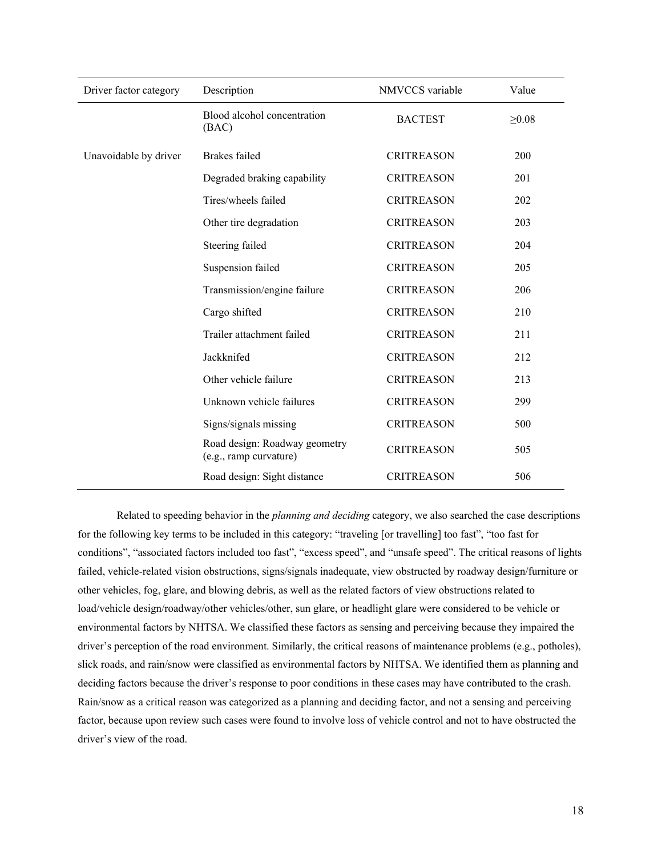| Driver factor category | Description                                             | NMVCCS variable   | Value       |
|------------------------|---------------------------------------------------------|-------------------|-------------|
|                        | Blood alcohol concentration<br>(BAC)                    | <b>BACTEST</b>    | $\geq 0.08$ |
| Unavoidable by driver  | Brakes failed                                           | <b>CRITREASON</b> | 200         |
|                        | Degraded braking capability                             | <b>CRITREASON</b> | 201         |
|                        | Tires/wheels failed                                     | <b>CRITREASON</b> | 202         |
|                        | Other tire degradation                                  | <b>CRITREASON</b> | 203         |
|                        | Steering failed                                         | <b>CRITREASON</b> | 204         |
|                        | Suspension failed                                       | <b>CRITREASON</b> | 205         |
|                        | Transmission/engine failure                             | <b>CRITREASON</b> | 206         |
|                        | Cargo shifted                                           | <b>CRITREASON</b> | 210         |
|                        | Trailer attachment failed                               | <b>CRITREASON</b> | 211         |
|                        | Jackknifed                                              | <b>CRITREASON</b> | 212         |
|                        | Other vehicle failure                                   | <b>CRITREASON</b> | 213         |
|                        | Unknown vehicle failures                                | <b>CRITREASON</b> | 299         |
|                        | Signs/signals missing                                   | <b>CRITREASON</b> | 500         |
|                        | Road design: Roadway geometry<br>(e.g., ramp curvature) | <b>CRITREASON</b> | 505         |
|                        | Road design: Sight distance                             | <b>CRITREASON</b> | 506         |

Related to speeding behavior in the *planning and deciding* category, we also searched the case descriptions for the following key terms to be included in this category: "traveling [or travelling] too fast", "too fast for conditions", "associated factors included too fast", "excess speed", and "unsafe speed". The critical reasons of lights failed, vehicle-related vision obstructions, signs/signals inadequate, view obstructed by roadway design/furniture or other vehicles, fog, glare, and blowing debris, as well as the related factors of view obstructions related to load/vehicle design/roadway/other vehicles/other, sun glare, or headlight glare were considered to be vehicle or environmental factors by NHTSA. We classified these factors as sensing and perceiving because they impaired the driver's perception of the road environment. Similarly, the critical reasons of maintenance problems (e.g., potholes), slick roads, and rain/snow were classified as environmental factors by NHTSA. We identified them as planning and deciding factors because the driver's response to poor conditions in these cases may have contributed to the crash. Rain/snow as a critical reason was categorized as a planning and deciding factor, and not a sensing and perceiving factor, because upon review such cases were found to involve loss of vehicle control and not to have obstructed the driver's view of the road.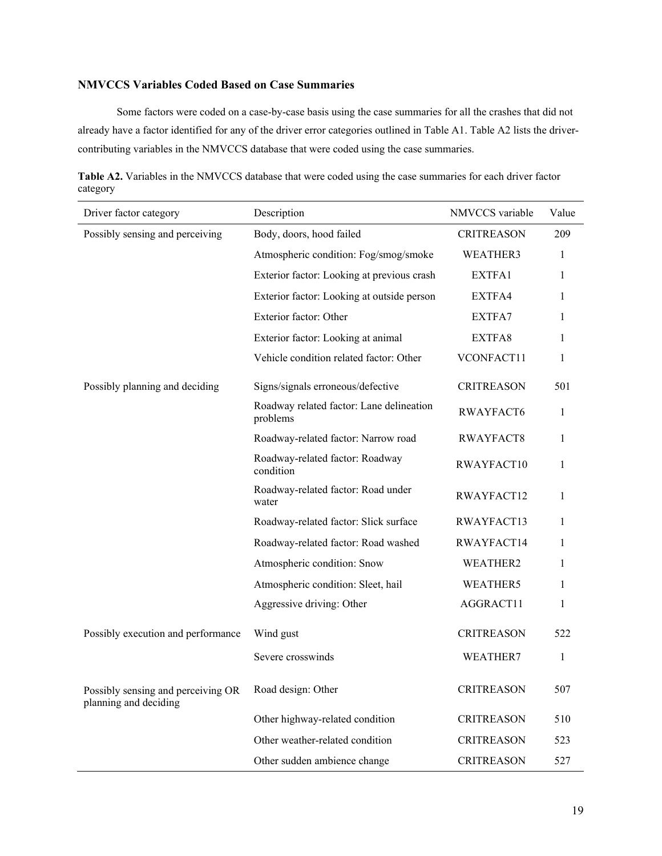# <span id="page-18-0"></span>**NMVCCS Variables Coded Based on Case Summaries**

Some factors were coded on a case-by-case basis using the case summaries for all the crashes that did not already have a factor identified for any of the driver error categories outlined in Table A1. Table A2 lists the drivercontributing variables in the NMVCCS database that were coded using the case summaries.

**Table A2.** Variables in the NMVCCS database that were coded using the case summaries for each driver factor category

| Driver factor category                                      | Description                                          | NMVCCS variable   | Value        |
|-------------------------------------------------------------|------------------------------------------------------|-------------------|--------------|
| Possibly sensing and perceiving                             | Body, doors, hood failed                             | <b>CRITREASON</b> | 209          |
|                                                             | Atmospheric condition: Fog/smog/smoke                | WEATHER3          | 1            |
|                                                             | Exterior factor: Looking at previous crash           | EXTFA1            | 1            |
|                                                             | Exterior factor: Looking at outside person           | EXTFA4            | 1            |
|                                                             | Exterior factor: Other                               | EXTFA7            | 1            |
|                                                             | Exterior factor: Looking at animal                   | EXTFA8            | 1            |
|                                                             | Vehicle condition related factor: Other              | VCONFACT11        | $\mathbf{1}$ |
| Possibly planning and deciding                              | Signs/signals erroneous/defective                    | <b>CRITREASON</b> | 501          |
|                                                             | Roadway related factor: Lane delineation<br>problems | RWAYFACT6         | 1            |
|                                                             | Roadway-related factor: Narrow road                  | RWAYFACT8         | $\mathbf{1}$ |
|                                                             | Roadway-related factor: Roadway<br>condition         | RWAYFACT10        | $\mathbf{1}$ |
|                                                             | Roadway-related factor: Road under<br>water          | RWAYFACT12        | 1            |
|                                                             | Roadway-related factor: Slick surface                | RWAYFACT13        | 1            |
|                                                             | Roadway-related factor: Road washed                  | RWAYFACT14        | 1            |
|                                                             | Atmospheric condition: Snow                          | WEATHER2          | 1            |
|                                                             | Atmospheric condition: Sleet, hail                   | WEATHER5          | 1            |
|                                                             | Aggressive driving: Other                            | AGGRACT11         | 1            |
| Possibly execution and performance                          | Wind gust                                            | <b>CRITREASON</b> | 522          |
|                                                             | Severe crosswinds                                    | WEATHER7          | 1            |
| Possibly sensing and perceiving OR<br>planning and deciding | Road design: Other                                   | <b>CRITREASON</b> | 507          |
|                                                             | Other highway-related condition                      | <b>CRITREASON</b> | 510          |
|                                                             | Other weather-related condition                      | <b>CRITREASON</b> | 523          |
|                                                             | Other sudden ambience change                         | <b>CRITREASON</b> | 527          |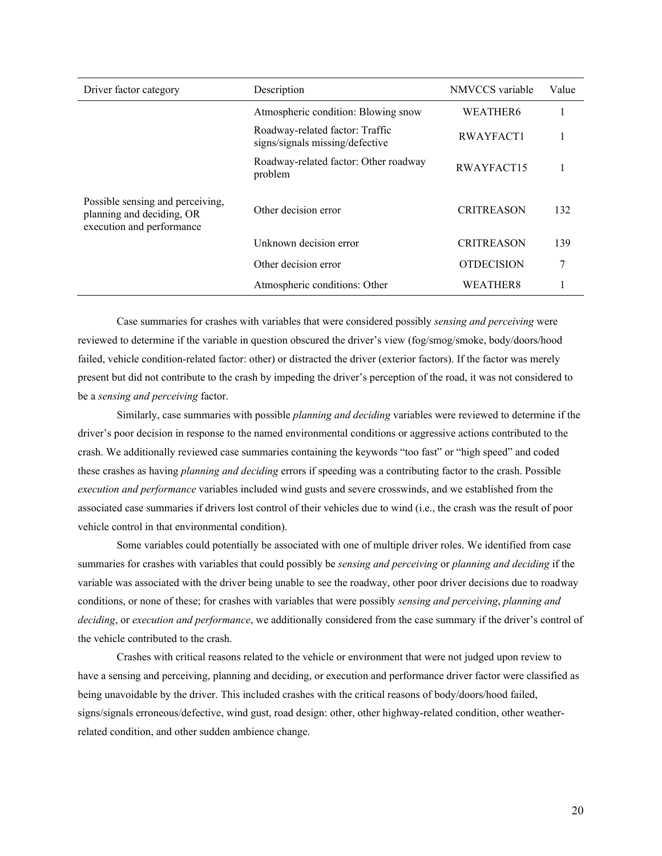| Driver factor category                                                                     | Description                                                        | NMVCCS variable   | Value |
|--------------------------------------------------------------------------------------------|--------------------------------------------------------------------|-------------------|-------|
|                                                                                            | Atmospheric condition: Blowing snow                                | WEATHER6          |       |
|                                                                                            | Roadway-related factor: Traffic<br>signs/signals missing/defective | RWAYFACT1         |       |
|                                                                                            | Roadway-related factor: Other roadway<br>problem                   | RWAYFACT15        |       |
| Possible sensing and perceiving,<br>planning and deciding, OR<br>execution and performance | Other decision error                                               | <b>CRITREASON</b> | 132   |
|                                                                                            | Unknown decision error                                             | <b>CRITREASON</b> | 139   |
|                                                                                            | Other decision error                                               | <b>OTDECISION</b> | 7     |
|                                                                                            | Atmospheric conditions: Other                                      | WEATHER8          |       |

Case summaries for crashes with variables that were considered possibly *sensing and perceiving* were reviewed to determine if the variable in question obscured the driver's view (fog/smog/smoke, body/doors/hood failed, vehicle condition-related factor: other) or distracted the driver (exterior factors). If the factor was merely present but did not contribute to the crash by impeding the driver's perception of the road, it was not considered to be a *sensing and perceiving* factor.

Similarly, case summaries with possible *planning and deciding* variables were reviewed to determine if the driver's poor decision in response to the named environmental conditions or aggressive actions contributed to the crash. We additionally reviewed case summaries containing the keywords "too fast" or "high speed" and coded these crashes as having *planning and deciding* errors if speeding was a contributing factor to the crash. Possible *execution and performance* variables included wind gusts and severe crosswinds, and we established from the associated case summaries if drivers lost control of their vehicles due to wind (i.e., the crash was the result of poor vehicle control in that environmental condition).

Some variables could potentially be associated with one of multiple driver roles. We identified from case summaries for crashes with variables that could possibly be *sensing and perceiving* or *planning and deciding* if the variable was associated with the driver being unable to see the roadway, other poor driver decisions due to roadway conditions, or none of these; for crashes with variables that were possibly *sensing and perceiving*, *planning and deciding*, or *execution and performance*, we additionally considered from the case summary if the driver's control of the vehicle contributed to the crash.

Crashes with critical reasons related to the vehicle or environment that were not judged upon review to have a sensing and perceiving, planning and deciding, or execution and performance driver factor were classified as being unavoidable by the driver. This included crashes with the critical reasons of body/doors/hood failed, signs/signals erroneous/defective, wind gust, road design: other, other highway-related condition, other weatherrelated condition, and other sudden ambience change.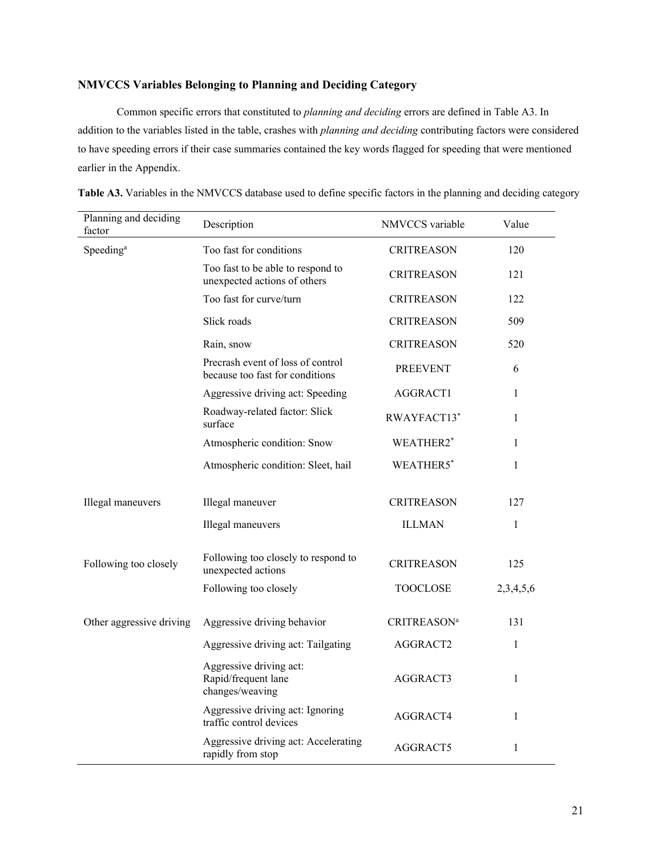# <span id="page-20-0"></span>**NMVCCS Variables Belonging to Planning and Deciding Category**

Common specific errors that constituted to *planning and deciding* errors are defined in Table A3. In addition to the variables listed in the table, crashes with *planning and deciding* contributing factors were considered to have speeding errors if their case summaries contained the key words flagged for speeding that were mentioned earlier in the Appendix.

| Planning and deciding<br>factor | Description                                                          | NMVCCS variable                | Value     |
|---------------------------------|----------------------------------------------------------------------|--------------------------------|-----------|
| Speeding <sup>a</sup>           | Too fast for conditions                                              | <b>CRITREASON</b>              | 120       |
|                                 | Too fast to be able to respond to<br>unexpected actions of others    | <b>CRITREASON</b>              | 121       |
|                                 | Too fast for curve/turn                                              | <b>CRITREASON</b>              | 122       |
|                                 | Slick roads                                                          | <b>CRITREASON</b>              | 509       |
|                                 | Rain, snow                                                           | <b>CRITREASON</b>              | 520       |
|                                 | Precrash event of loss of control<br>because too fast for conditions | <b>PREEVENT</b>                | 6         |
|                                 | Aggressive driving act: Speeding                                     | AGGRACT1                       | 1         |
|                                 | Roadway-related factor: Slick<br>surface                             | RWAYFACT13*                    | 1         |
|                                 | Atmospheric condition: Snow                                          | WEATHER2*                      | 1         |
|                                 | Atmospheric condition: Sleet, hail                                   | WEATHER5*                      | 1         |
|                                 |                                                                      |                                |           |
| Illegal maneuvers               | Illegal maneuver                                                     | <b>CRITREASON</b>              | 127       |
|                                 | Illegal maneuvers                                                    | <b>ILLMAN</b>                  | 1         |
| Following too closely           | Following too closely to respond to<br>unexpected actions            | <b>CRITREASON</b>              | 125       |
|                                 | Following too closely                                                | TOOCLOSE                       | 2,3,4,5,6 |
| Other aggressive driving        | Aggressive driving behavior                                          | <b>CRITREASON</b> <sup>a</sup> | 131       |
|                                 | Aggressive driving act: Tailgating                                   | AGGRACT2                       | 1         |
|                                 | Aggressive driving act:<br>Rapid/frequent lane<br>changes/weaving    | AGGRACT3                       | 1         |
|                                 | Aggressive driving act: Ignoring<br>traffic control devices          | AGGRACT4                       | 1         |
|                                 | Aggressive driving act: Accelerating<br>rapidly from stop            | AGGRACT5                       | 1         |